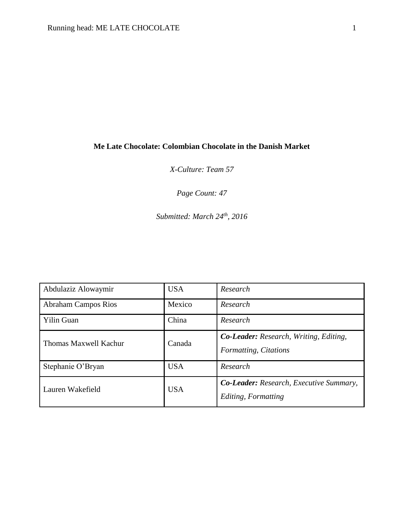# **Me Late Chocolate: Colombian Chocolate in the Danish Market**

*X-Culture: Team 57*

*Page Count: 47*

*Submitted: March 24th, 2016*

| Abdulaziz Alowaymir        | <b>USA</b> | Research                                                               |
|----------------------------|------------|------------------------------------------------------------------------|
| <b>Abraham Campos Rios</b> | Mexico     | Research                                                               |
| <b>Yilin Guan</b>          | China      | Research                                                               |
| Thomas Maxwell Kachur      | Canada     | <b>Co-Leader:</b> Research, Writing, Editing,<br>Formatting, Citations |
| Stephanie O'Bryan          | <b>USA</b> | Research                                                               |
| Lauren Wakefield           | <b>USA</b> | <b>Co-Leader:</b> Research, Executive Summary,<br>Editing, Formatting  |

 $\overline{a}$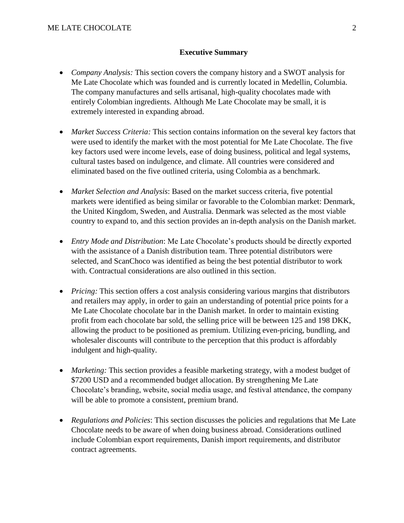### **Executive Summary**

- *Company Analysis:* This section covers the company history and a SWOT analysis for Me Late Chocolate which was founded and is currently located in Medellin, Columbia. The company manufactures and sells artisanal, high-quality chocolates made with entirely Colombian ingredients. Although Me Late Chocolate may be small, it is extremely interested in expanding abroad.
- *Market Success Criteria:* This section contains information on the several key factors that were used to identify the market with the most potential for Me Late Chocolate. The five key factors used were income levels, ease of doing business, political and legal systems, cultural tastes based on indulgence, and climate. All countries were considered and eliminated based on the five outlined criteria, using Colombia as a benchmark.
- *Market Selection and Analysis*: Based on the market success criteria, five potential markets were identified as being similar or favorable to the Colombian market: Denmark, the United Kingdom, Sweden, and Australia. Denmark was selected as the most viable country to expand to, and this section provides an in-depth analysis on the Danish market.
- *Entry Mode and Distribution*: Me Late Chocolate's products should be directly exported with the assistance of a Danish distribution team. Three potential distributors were selected, and ScanChoco was identified as being the best potential distributor to work with. Contractual considerations are also outlined in this section.
- *Pricing:* This section offers a cost analysis considering various margins that distributors and retailers may apply, in order to gain an understanding of potential price points for a Me Late Chocolate chocolate bar in the Danish market. In order to maintain existing profit from each chocolate bar sold, the selling price will be between 125 and 198 DKK, allowing the product to be positioned as premium. Utilizing even-pricing, bundling, and wholesaler discounts will contribute to the perception that this product is affordably indulgent and high-quality.
- *Marketing:* This section provides a feasible marketing strategy, with a modest budget of \$7200 USD and a recommended budget allocation. By strengthening Me Late Chocolate's branding, website, social media usage, and festival attendance, the company will be able to promote a consistent, premium brand.
- *Regulations and Policies*: This section discusses the policies and regulations that Me Late Chocolate needs to be aware of when doing business abroad. Considerations outlined include Colombian export requirements, Danish import requirements, and distributor contract agreements.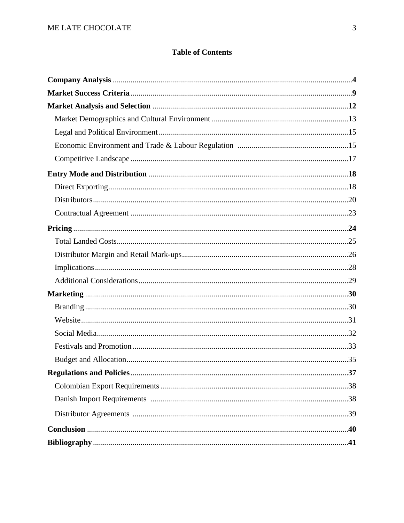# **Table of Contents**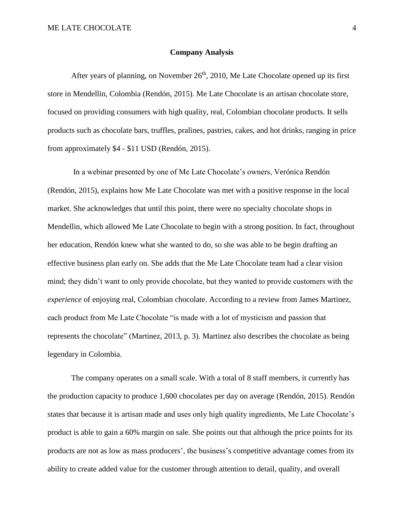### **Company Analysis**

After years of planning, on November  $26<sup>th</sup>$ , 2010, Me Late Chocolate opened up its first store in Mendellin, Colombia (Rendón, 2015). Me Late Chocolate is an artisan chocolate store, focused on providing consumers with high quality, real, Colombian chocolate products. It sells products such as chocolate bars, truffles, pralines, pastries, cakes, and hot drinks, ranging in price from approximately \$4 - \$11 USD (Rendón, 2015).

In a webinar presented by one of Me Late Chocolate's owners, Verónica Rendón (Rendón, 2015), explains how Me Late Chocolate was met with a positive response in the local market. She acknowledges that until this point, there were no specialty chocolate shops in Mendellin, which allowed Me Late Chocolate to begin with a strong position. In fact, throughout her education, Rendón knew what she wanted to do, so she was able to be begin drafting an effective business plan early on. She adds that the Me Late Chocolate team had a clear vision mind; they didn't want to only provide chocolate, but they wanted to provide customers with the *experience* of enjoying real, Colombian chocolate. According to a review from James Martinez, each product from Me Late Chocolate "is made with a lot of mysticism and passion that represents the chocolate" (Martinez, 2013, p. 3). Martinez also describes the chocolate as being legendary in Colombia.

The company operates on a small scale. With a total of 8 staff members, it currently has the production capacity to produce 1,600 chocolates per day on average (Rendón, 2015). Rendón states that because it is artisan made and uses only high quality ingredients, Me Late Chocolate's product is able to gain a 60% margin on sale. She points out that although the price points for its products are not as low as mass producers', the business's competitive advantage comes from its ability to create added value for the customer through attention to detail, quality, and overall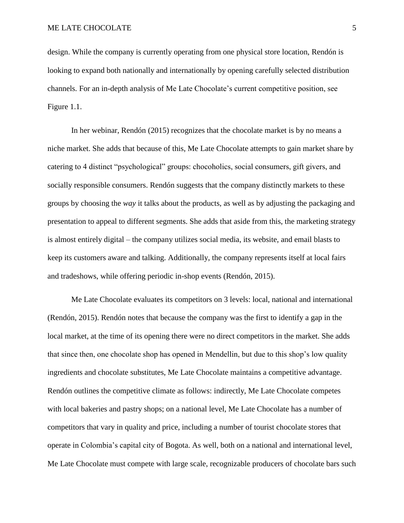design. While the company is currently operating from one physical store location, Rendón is looking to expand both nationally and internationally by opening carefully selected distribution channels. For an in-depth analysis of Me Late Chocolate's current competitive position, see Figure 1.1.

In her webinar, Rendón (2015) recognizes that the chocolate market is by no means a niche market. She adds that because of this, Me Late Chocolate attempts to gain market share by catering to 4 distinct "psychological" groups: chocoholics, social consumers, gift givers, and socially responsible consumers. Rendón suggests that the company distinctly markets to these groups by choosing the *way* it talks about the products, as well as by adjusting the packaging and presentation to appeal to different segments. She adds that aside from this, the marketing strategy is almost entirely digital – the company utilizes social media, its website, and email blasts to keep its customers aware and talking. Additionally, the company represents itself at local fairs and tradeshows, while offering periodic in-shop events (Rendón, 2015).

Me Late Chocolate evaluates its competitors on 3 levels: local, national and international (Rendón, 2015). Rendón notes that because the company was the first to identify a gap in the local market, at the time of its opening there were no direct competitors in the market. She adds that since then, one chocolate shop has opened in Mendellin, but due to this shop's low quality ingredients and chocolate substitutes, Me Late Chocolate maintains a competitive advantage. Rendón outlines the competitive climate as follows: indirectly, Me Late Chocolate competes with local bakeries and pastry shops; on a national level, Me Late Chocolate has a number of competitors that vary in quality and price, including a number of tourist chocolate stores that operate in Colombia's capital city of Bogota. As well, both on a national and international level, Me Late Chocolate must compete with large scale, recognizable producers of chocolate bars such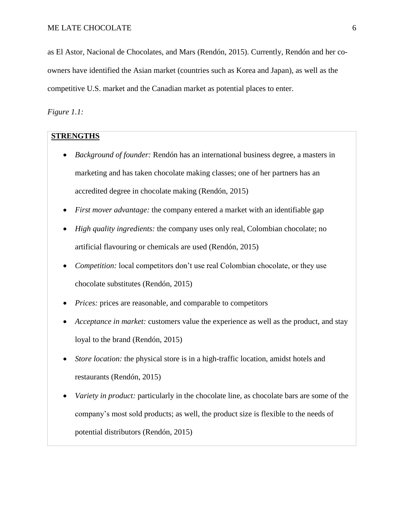as El Astor, Nacional de Chocolates, and Mars (Rendón, 2015). Currently, Rendón and her coowners have identified the Asian market (countries such as Korea and Japan), as well as the competitive U.S. market and the Canadian market as potential places to enter.

*Figure 1.1:*

# **STRENGTHS**

- *Background of founder:* Rendón has an international business degree, a masters in marketing and has taken chocolate making classes; one of her partners has an accredited degree in chocolate making (Rendón, 2015)
- *First mover advantage:* the company entered a market with an identifiable gap
- *High quality ingredients:* the company uses only real, Colombian chocolate; no artificial flavouring or chemicals are used (Rendón, 2015)
- *Competition:* local competitors don't use real Colombian chocolate, or they use chocolate substitutes (Rendón, 2015)
- *Prices:* prices are reasonable, and comparable to competitors
- *Acceptance in market:* customers value the experience as well as the product, and stay loyal to the brand (Rendón, 2015)
- *Store location:* the physical store is in a high-traffic location, amidst hotels and restaurants (Rendón, 2015)
- *Variety in product:* particularly in the chocolate line, as chocolate bars are some of the company's most sold products; as well, the product size is flexible to the needs of potential distributors (Rendón, 2015)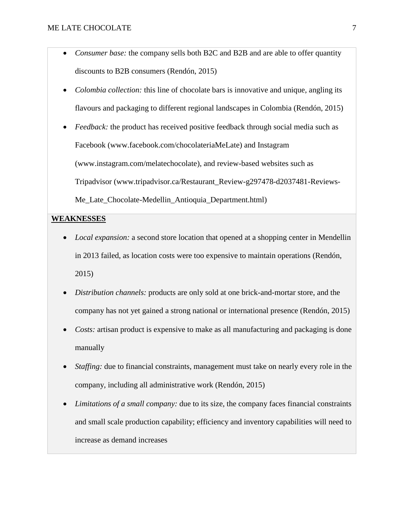- *Consumer base:* the company sells both B2C and B2B and are able to offer quantity discounts to B2B consumers (Rendón, 2015)
- *Colombia collection:* this line of chocolate bars is innovative and unique, angling its flavours and packaging to different regional landscapes in Colombia (Rendón, 2015)
- *Feedback:* the product has received positive feedback through social media such as Facebook (www.facebook.com/chocolateriaMeLate) and Instagram (www.instagram.com/melatechocolate), and review-based websites such as Tripadvisor (www.tripadvisor.ca/Restaurant\_Review-g297478-d2037481-Reviews-Me Late Chocolate-Medellin Antioquia Department.html)

# **WEAKNESSES**

- *Local expansion:* a second store location that opened at a shopping center in Mendellin in 2013 failed, as location costs were too expensive to maintain operations (Rendón, 2015)
- *Distribution channels:* products are only sold at one brick-and-mortar store, and the company has not yet gained a strong national or international presence (Rendón, 2015)
- *Costs:* artisan product is expensive to make as all manufacturing and packaging is done manually
- *Staffing:* due to financial constraints, management must take on nearly every role in the company, including all administrative work (Rendón, 2015)
- *Limitations of a small company:* due to its size, the company faces financial constraints and small scale production capability; efficiency and inventory capabilities will need to increase as demand increases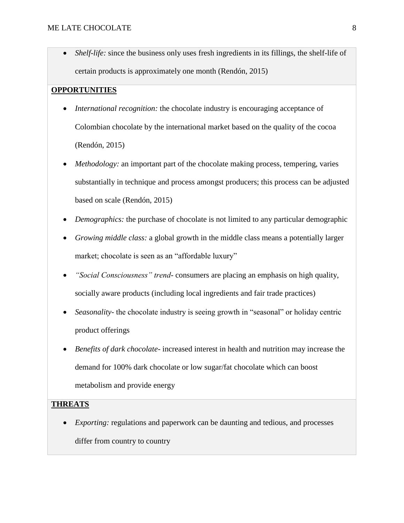• *Shelf-life:* since the business only uses fresh ingredients in its fillings, the shelf-life of certain products is approximately one month (Rendón, 2015)

### **OPPORTUNITIES**

- *International recognition:* the chocolate industry is encouraging acceptance of Colombian chocolate by the international market based on the quality of the cocoa (Rendón, 2015)
- *Methodology:* an important part of the chocolate making process, tempering, varies substantially in technique and process amongst producers; this process can be adjusted based on scale (Rendón, 2015)
- *Demographics:* the purchase of chocolate is not limited to any particular demographic
- *Growing middle class:* a global growth in the middle class means a potentially larger market; chocolate is seen as an "affordable luxury"
- *"Social Consciousness" trend-* consumers are placing an emphasis on high quality, socially aware products (including local ingredients and fair trade practices)
- *Seasonality-* the chocolate industry is seeing growth in "seasonal" or holiday centric product offerings
- *Benefits of dark chocolate-* increased interest in health and nutrition may increase the demand for 100% dark chocolate or low sugar/fat chocolate which can boost metabolism and provide energy

## **THREATS**

*Exporting:* regulations and paperwork can be daunting and tedious, and processes differ from country to country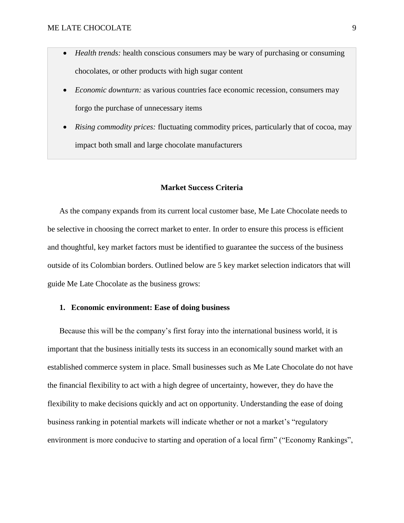- *Health trends:* health conscious consumers may be wary of purchasing or consuming chocolates, or other products with high sugar content
- *Economic downturn:* as various countries face economic recession, consumers may forgo the purchase of unnecessary items
- *Rising commodity prices:* fluctuating commodity prices, particularly that of cocoa, may impact both small and large chocolate manufacturers

#### **Market Success Criteria**

As the company expands from its current local customer base, Me Late Chocolate needs to be selective in choosing the correct market to enter. In order to ensure this process is efficient and thoughtful, key market factors must be identified to guarantee the success of the business outside of its Colombian borders. Outlined below are 5 key market selection indicators that will guide Me Late Chocolate as the business grows:

### **1. Economic environment: Ease of doing business**

Because this will be the company's first foray into the international business world, it is important that the business initially tests its success in an economically sound market with an established commerce system in place. Small businesses such as Me Late Chocolate do not have the financial flexibility to act with a high degree of uncertainty, however, they do have the flexibility to make decisions quickly and act on opportunity. Understanding the ease of doing business ranking in potential markets will indicate whether or not a market's "regulatory environment is more conducive to starting and operation of a local firm" ("Economy Rankings",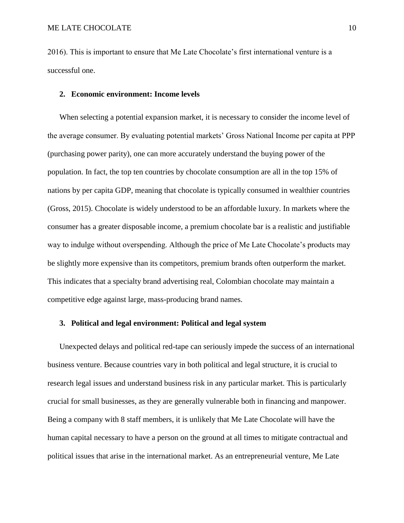2016). This is important to ensure that Me Late Chocolate's first international venture is a successful one.

### **2. Economic environment: Income levels**

When selecting a potential expansion market, it is necessary to consider the income level of the average consumer. By evaluating potential markets' Gross National Income per capita at PPP (purchasing power parity), one can more accurately understand the buying power of the population. In fact, the top ten countries by chocolate consumption are all in the top 15% of nations by per capita GDP, meaning that chocolate is typically consumed in wealthier countries (Gross, 2015). Chocolate is widely understood to be an affordable luxury. In markets where the consumer has a greater disposable income, a premium chocolate bar is a realistic and justifiable way to indulge without overspending. Although the price of Me Late Chocolate's products may be slightly more expensive than its competitors, premium brands often outperform the market. This indicates that a specialty brand advertising real, Colombian chocolate may maintain a competitive edge against large, mass-producing brand names.

# **3. Political and legal environment: Political and legal system**

Unexpected delays and political red-tape can seriously impede the success of an international business venture. Because countries vary in both political and legal structure, it is crucial to research legal issues and understand business risk in any particular market. This is particularly crucial for small businesses, as they are generally vulnerable both in financing and manpower. Being a company with 8 staff members, it is unlikely that Me Late Chocolate will have the human capital necessary to have a person on the ground at all times to mitigate contractual and political issues that arise in the international market. As an entrepreneurial venture, Me Late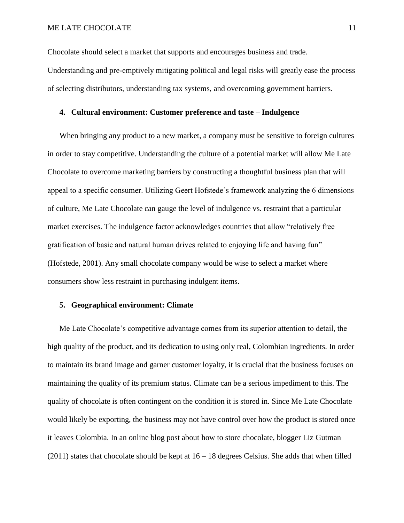Chocolate should select a market that supports and encourages business and trade.

Understanding and pre-emptively mitigating political and legal risks will greatly ease the process of selecting distributors, understanding tax systems, and overcoming government barriers.

### **4. Cultural environment: Customer preference and taste – Indulgence**

When bringing any product to a new market, a company must be sensitive to foreign cultures in order to stay competitive. Understanding the culture of a potential market will allow Me Late Chocolate to overcome marketing barriers by constructing a thoughtful business plan that will appeal to a specific consumer. Utilizing Geert Hofstede's framework analyzing the 6 dimensions of culture, Me Late Chocolate can gauge the level of indulgence vs. restraint that a particular market exercises. The indulgence factor acknowledges countries that allow "relatively free gratification of basic and natural human drives related to enjoying life and having fun" (Hofstede, 2001). Any small chocolate company would be wise to select a market where consumers show less restraint in purchasing indulgent items.

# **5. Geographical environment: Climate**

Me Late Chocolate's competitive advantage comes from its superior attention to detail, the high quality of the product, and its dedication to using only real, Colombian ingredients. In order to maintain its brand image and garner customer loyalty, it is crucial that the business focuses on maintaining the quality of its premium status. Climate can be a serious impediment to this. The quality of chocolate is often contingent on the condition it is stored in. Since Me Late Chocolate would likely be exporting, the business may not have control over how the product is stored once it leaves Colombia. In an online blog post about how to store chocolate, blogger Liz Gutman  $(2011)$  states that chocolate should be kept at  $16 - 18$  degrees Celsius. She adds that when filled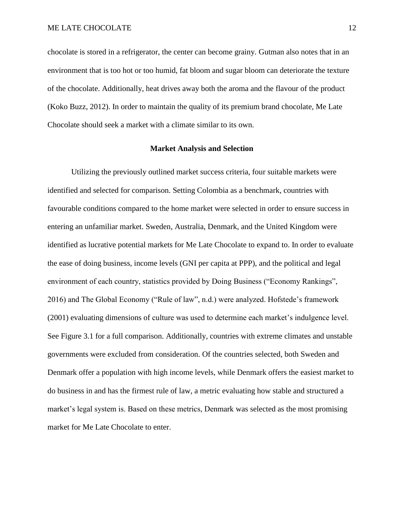chocolate is stored in a refrigerator, the center can become grainy. Gutman also notes that in an environment that is too hot or too humid, fat bloom and sugar bloom can deteriorate the texture of the chocolate. Additionally, heat drives away both the aroma and the flavour of the product (Koko Buzz, 2012). In order to maintain the quality of its premium brand chocolate, Me Late Chocolate should seek a market with a climate similar to its own.

### **Market Analysis and Selection**

Utilizing the previously outlined market success criteria, four suitable markets were identified and selected for comparison. Setting Colombia as a benchmark, countries with favourable conditions compared to the home market were selected in order to ensure success in entering an unfamiliar market. Sweden, Australia, Denmark, and the United Kingdom were identified as lucrative potential markets for Me Late Chocolate to expand to. In order to evaluate the ease of doing business, income levels (GNI per capita at PPP), and the political and legal environment of each country, statistics provided by Doing Business ("Economy Rankings", 2016) and The Global Economy ("Rule of law", n.d.) were analyzed. Hofstede's framework (2001) evaluating dimensions of culture was used to determine each market's indulgence level. See Figure 3.1 for a full comparison. Additionally, countries with extreme climates and unstable governments were excluded from consideration. Of the countries selected, both Sweden and Denmark offer a population with high income levels, while Denmark offers the easiest market to do business in and has the firmest rule of law, a metric evaluating how stable and structured a market's legal system is. Based on these metrics, Denmark was selected as the most promising market for Me Late Chocolate to enter.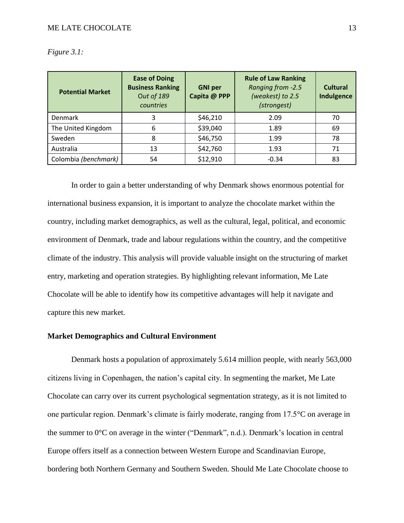| <b>Potential Market</b> | <b>Ease of Doing</b><br><b>Business Ranking</b><br>Out of 189<br>countries | <b>GNI per</b><br>Capita @ PPP | <b>Rule of Law Ranking</b><br>Ranging from -2.5<br>(weakest) to 2.5<br>(strongest) | <b>Cultural</b><br>Indulgence |
|-------------------------|----------------------------------------------------------------------------|--------------------------------|------------------------------------------------------------------------------------|-------------------------------|
| <b>Denmark</b>          | 3                                                                          | \$46,210                       | 2.09                                                                               | 70                            |
| The United Kingdom      | 6                                                                          | \$39,040                       | 1.89                                                                               | 69                            |
| Sweden                  | 8                                                                          | \$46,750                       | 1.99                                                                               | 78                            |
| Australia               | 13                                                                         | \$42,760                       | 1.93                                                                               | 71                            |
| Colombia (benchmark)    | 54                                                                         | \$12,910                       | $-0.34$                                                                            | 83                            |

*Figure 3.1:*

In order to gain a better understanding of why Denmark shows enormous potential for international business expansion, it is important to analyze the chocolate market within the country, including market demographics, as well as the cultural, legal, political, and economic environment of Denmark, trade and labour regulations within the country, and the competitive climate of the industry. This analysis will provide valuable insight on the structuring of market entry, marketing and operation strategies. By highlighting relevant information, Me Late Chocolate will be able to identify how its competitive advantages will help it navigate and capture this new market.

# **Market Demographics and Cultural Environment**

Denmark hosts a population of approximately 5.614 million people, with nearly 563,000 citizens living in Copenhagen, the nation's capital city. In segmenting the market, Me Late Chocolate can carry over its current psychological segmentation strategy, as it is not limited to one particular region. Denmark's climate is fairly moderate, ranging from 17.5°C on average in the summer to 0°C on average in the winter ("Denmark", n.d.). Denmark's location in central Europe offers itself as a connection between Western Europe and Scandinavian Europe, bordering both Northern Germany and Southern Sweden. Should Me Late Chocolate choose to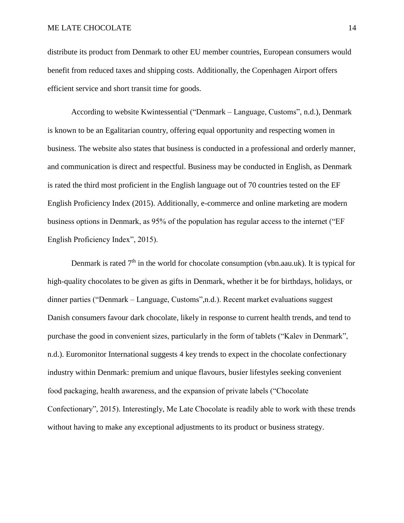distribute its product from Denmark to other EU member countries, European consumers would benefit from reduced taxes and shipping costs. Additionally, the Copenhagen Airport offers efficient service and short transit time for goods.

According to website Kwintessential ("Denmark – Language, Customs", n.d.), Denmark is known to be an Egalitarian country, offering equal opportunity and respecting women in business. The website also states that business is conducted in a professional and orderly manner, and communication is direct and respectful. Business may be conducted in English, as Denmark is rated the third most proficient in the English language out of 70 countries tested on the EF English Proficiency Index (2015). Additionally, e-commerce and online marketing are modern business options in Denmark, as 95% of the population has regular access to the internet ("EF English Proficiency Index", 2015).

Denmark is rated  $7<sup>th</sup>$  in the world for chocolate consumption (vbn.aau.uk). It is typical for high-quality chocolates to be given as gifts in Denmark, whether it be for birthdays, holidays, or dinner parties ("Denmark – Language, Customs",n.d.). Recent market evaluations suggest Danish consumers favour dark chocolate, likely in response to current health trends, and tend to purchase the good in convenient sizes, particularly in the form of tablets ("Kalev in Denmark", n.d.). Euromonitor International suggests 4 key trends to expect in the chocolate confectionary industry within Denmark: premium and unique flavours, busier lifestyles seeking convenient food packaging, health awareness, and the expansion of private labels ("Chocolate Confectionary", 2015). Interestingly, Me Late Chocolate is readily able to work with these trends without having to make any exceptional adjustments to its product or business strategy.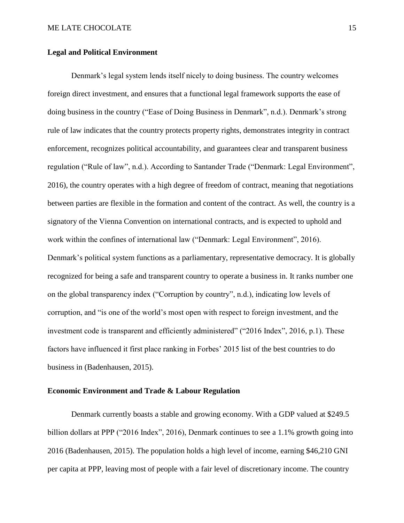### **Legal and Political Environment**

Denmark's legal system lends itself nicely to doing business. The country welcomes foreign direct investment, and ensures that a functional legal framework supports the ease of doing business in the country ("Ease of Doing Business in Denmark", n.d.). Denmark's strong rule of law indicates that the country protects property rights, demonstrates integrity in contract enforcement, recognizes political accountability, and guarantees clear and transparent business regulation ("Rule of law", n.d.). According to Santander Trade ("Denmark: Legal Environment", 2016), the country operates with a high degree of freedom of contract, meaning that negotiations between parties are flexible in the formation and content of the contract. As well, the country is a signatory of the Vienna Convention on international contracts, and is expected to uphold and work within the confines of international law ("Denmark: Legal Environment", 2016). Denmark's political system functions as a parliamentary, representative democracy. It is globally recognized for being a safe and transparent country to operate a business in. It ranks number one on the global transparency index ("Corruption by country", n.d.), indicating low levels of corruption, and "is one of the world's most open with respect to foreign investment, and the investment code is transparent and efficiently administered" ("2016 Index", 2016, p.1). These factors have influenced it first place ranking in Forbes' 2015 list of the best countries to do business in (Badenhausen, 2015).

### **Economic Environment and Trade & Labour Regulation**

Denmark currently boasts a stable and growing economy. With a GDP valued at \$249.5 billion dollars at PPP ("2016 Index", 2016), Denmark continues to see a 1.1% growth going into 2016 (Badenhausen, 2015). The population holds a high level of income, earning \$46,210 GNI per capita at PPP, leaving most of people with a fair level of discretionary income. The country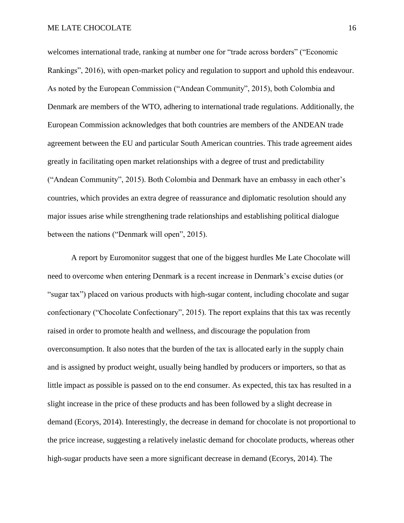welcomes international trade, ranking at number one for "trade across borders" ("Economic Rankings", 2016), with open-market policy and regulation to support and uphold this endeavour. As noted by the European Commission ("Andean Community", 2015), both Colombia and Denmark are members of the WTO, adhering to international trade regulations. Additionally, the European Commission acknowledges that both countries are members of the ANDEAN trade agreement between the EU and particular South American countries. This trade agreement aides greatly in facilitating open market relationships with a degree of trust and predictability ("Andean Community", 2015). Both Colombia and Denmark have an embassy in each other's countries, which provides an extra degree of reassurance and diplomatic resolution should any major issues arise while strengthening trade relationships and establishing political dialogue between the nations ("Denmark will open", 2015).

A report by Euromonitor suggest that one of the biggest hurdles Me Late Chocolate will need to overcome when entering Denmark is a recent increase in Denmark's excise duties (or "sugar tax") placed on various products with high-sugar content, including chocolate and sugar confectionary ("Chocolate Confectionary", 2015). The report explains that this tax was recently raised in order to promote health and wellness, and discourage the population from overconsumption. It also notes that the burden of the tax is allocated early in the supply chain and is assigned by product weight, usually being handled by producers or importers, so that as little impact as possible is passed on to the end consumer. As expected, this tax has resulted in a slight increase in the price of these products and has been followed by a slight decrease in demand (Ecorys, 2014). Interestingly, the decrease in demand for chocolate is not proportional to the price increase, suggesting a relatively inelastic demand for chocolate products, whereas other high-sugar products have seen a more significant decrease in demand (Ecorys, 2014). The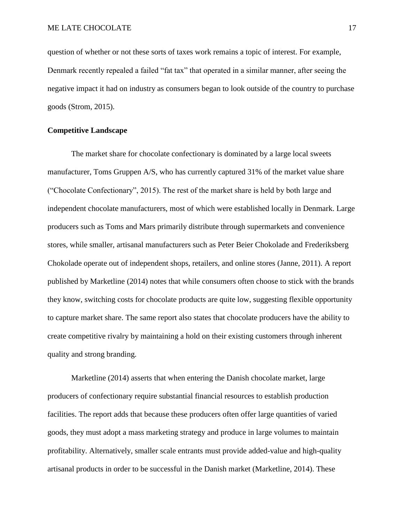question of whether or not these sorts of taxes work remains a topic of interest. For example, Denmark recently repealed a failed "fat tax" that operated in a similar manner, after seeing the negative impact it had on industry as consumers began to look outside of the country to purchase goods (Strom, 2015).

### **Competitive Landscape**

The market share for chocolate confectionary is dominated by a large local sweets manufacturer, Toms Gruppen A/S, who has currently captured 31% of the market value share ("Chocolate Confectionary", 2015). The rest of the market share is held by both large and independent chocolate manufacturers, most of which were established locally in Denmark. Large producers such as Toms and Mars primarily distribute through supermarkets and convenience stores, while smaller, artisanal manufacturers such as Peter Beier Chokolade and Frederiksberg Chokolade operate out of independent shops, retailers, and online stores (Janne, 2011). A report published by Marketline (2014) notes that while consumers often choose to stick with the brands they know, switching costs for chocolate products are quite low, suggesting flexible opportunity to capture market share. The same report also states that chocolate producers have the ability to create competitive rivalry by maintaining a hold on their existing customers through inherent quality and strong branding.

Marketline (2014) asserts that when entering the Danish chocolate market, large producers of confectionary require substantial financial resources to establish production facilities. The report adds that because these producers often offer large quantities of varied goods, they must adopt a mass marketing strategy and produce in large volumes to maintain profitability. Alternatively, smaller scale entrants must provide added-value and high-quality artisanal products in order to be successful in the Danish market (Marketline, 2014). These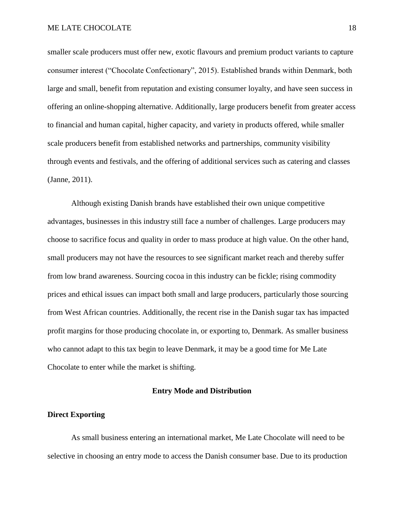smaller scale producers must offer new, exotic flavours and premium product variants to capture consumer interest ("Chocolate Confectionary", 2015). Established brands within Denmark, both large and small, benefit from reputation and existing consumer loyalty, and have seen success in offering an online-shopping alternative. Additionally, large producers benefit from greater access to financial and human capital, higher capacity, and variety in products offered, while smaller scale producers benefit from established networks and partnerships, community visibility through events and festivals, and the offering of additional services such as catering and classes (Janne, 2011).

Although existing Danish brands have established their own unique competitive advantages, businesses in this industry still face a number of challenges. Large producers may choose to sacrifice focus and quality in order to mass produce at high value. On the other hand, small producers may not have the resources to see significant market reach and thereby suffer from low brand awareness. Sourcing cocoa in this industry can be fickle; rising commodity prices and ethical issues can impact both small and large producers, particularly those sourcing from West African countries. Additionally, the recent rise in the Danish sugar tax has impacted profit margins for those producing chocolate in, or exporting to, Denmark. As smaller business who cannot adapt to this tax begin to leave Denmark, it may be a good time for Me Late Chocolate to enter while the market is shifting.

### **Entry Mode and Distribution**

### **Direct Exporting**

As small business entering an international market, Me Late Chocolate will need to be selective in choosing an entry mode to access the Danish consumer base. Due to its production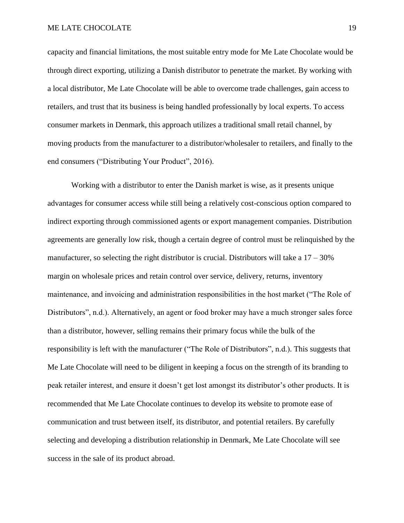capacity and financial limitations, the most suitable entry mode for Me Late Chocolate would be through direct exporting, utilizing a Danish distributor to penetrate the market. By working with a local distributor, Me Late Chocolate will be able to overcome trade challenges, gain access to retailers, and trust that its business is being handled professionally by local experts. To access consumer markets in Denmark, this approach utilizes a traditional small retail channel, by moving products from the manufacturer to a distributor/wholesaler to retailers, and finally to the end consumers ("Distributing Your Product", 2016).

Working with a distributor to enter the Danish market is wise, as it presents unique advantages for consumer access while still being a relatively cost-conscious option compared to indirect exporting through commissioned agents or export management companies. Distribution agreements are generally low risk, though a certain degree of control must be relinquished by the manufacturer, so selecting the right distributor is crucial. Distributors will take a  $17 - 30\%$ margin on wholesale prices and retain control over service, delivery, returns, inventory maintenance, and invoicing and administration responsibilities in the host market ("The Role of Distributors", n.d.). Alternatively, an agent or food broker may have a much stronger sales force than a distributor, however, selling remains their primary focus while the bulk of the responsibility is left with the manufacturer ("The Role of Distributors", n.d.). This suggests that Me Late Chocolate will need to be diligent in keeping a focus on the strength of its branding to peak retailer interest, and ensure it doesn't get lost amongst its distributor's other products. It is recommended that Me Late Chocolate continues to develop its website to promote ease of communication and trust between itself, its distributor, and potential retailers. By carefully selecting and developing a distribution relationship in Denmark, Me Late Chocolate will see success in the sale of its product abroad.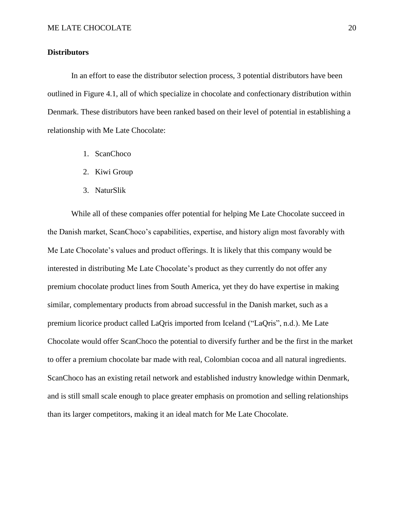### **Distributors**

In an effort to ease the distributor selection process, 3 potential distributors have been outlined in Figure 4.1, all of which specialize in chocolate and confectionary distribution within Denmark. These distributors have been ranked based on their level of potential in establishing a relationship with Me Late Chocolate:

- 1. ScanChoco
- 2. Kiwi Group
- 3. NaturSlik

While all of these companies offer potential for helping Me Late Chocolate succeed in the Danish market, ScanChoco's capabilities, expertise, and history align most favorably with Me Late Chocolate's values and product offerings. It is likely that this company would be interested in distributing Me Late Chocolate's product as they currently do not offer any premium chocolate product lines from South America, yet they do have expertise in making similar, complementary products from abroad successful in the Danish market, such as a premium licorice product called LaQris imported from Iceland ("LaQris", n.d.). Me Late Chocolate would offer ScanChoco the potential to diversify further and be the first in the market to offer a premium chocolate bar made with real, Colombian cocoa and all natural ingredients. ScanChoco has an existing retail network and established industry knowledge within Denmark, and is still small scale enough to place greater emphasis on promotion and selling relationships than its larger competitors, making it an ideal match for Me Late Chocolate.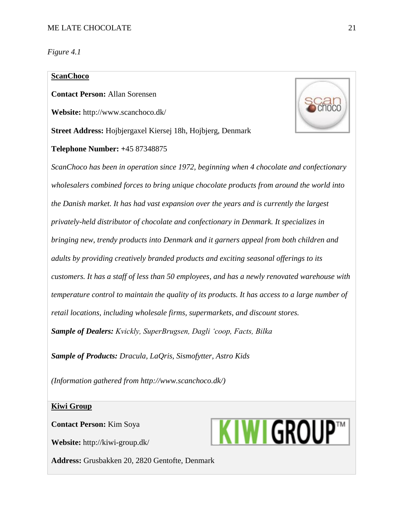*Figure 4.1*

# **ScanChoco**

**Contact Person:** Allan Sorensen

**Website:** http://www.scanchoco.dk/

**Street Address:** Hojbjergaxel Kiersej 18h, Hojbjerg, Denmark

**Telephone Number: +**45 87348875



*ScanChoco has been in operation since 1972, beginning when 4 chocolate and confectionary wholesalers combined forces to bring unique chocolate products from around the world into the Danish market. It has had vast expansion over the years and is currently the largest privately-held distributor of chocolate and confectionary in Denmark. It specializes in bringing new, trendy products into Denmark and it garners appeal from both children and adults by providing creatively branded products and exciting seasonal offerings to its customers. It has a staff of less than 50 employees, and has a newly renovated warehouse with temperature control to maintain the quality of its products. It has access to a large number of retail locations, including wholesale firms, supermarkets, and discount stores. Sample of Dealers: Kvickly, SuperBrugsen, Dagli 'coop, Facts, Bilka*

*Sample of Products: Dracula, LaQris, Sismofytter, Astro Kids* 

*(Information gathered from http://www.scanchoco.dk/)*

#### **Kiwi Group**

**Contact Person:** Kim Soya

**Website:** http://kiwi-group.dk/

**Address:** Grusbakken 20, 2820 Gentofte, Denmark

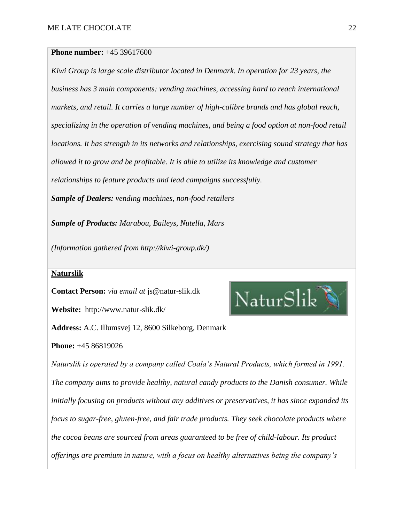### **Phone number:** +45 39617600

*Kiwi Group is large scale distributor located in Denmark. In operation for 23 years, the business has 3 main components: vending machines, accessing hard to reach international markets, and retail. It carries a large number of high-calibre brands and has global reach, specializing in the operation of vending machines, and being a food option at non-food retail locations. It has strength in its networks and relationships, exercising sound strategy that has allowed it to grow and be profitable. It is able to utilize its knowledge and customer relationships to feature products and lead campaigns successfully. Sample of Dealers: vending machines, non-food retailers*

*Sample of Products: Marabou, Baileys, Nutella, Mars*

*(Information gathered from http://kiwi-group.dk/)*

# **Naturslik**

**Contact Person:** *via email at* js@natur-slik.dk

**Website:** http://www.natur-slik.dk/

**Address:** A.C. Illumsvej 12, 8600 Silkeborg, Denmark

**Phone:** +45 86819026

*Naturslik is operated by a company called Coala's Natural Products, which formed in 1991. The company aims to provide healthy, natural candy products to the Danish consumer. While initially focusing on products without any additives or preservatives, it has since expanded its focus to sugar-free, gluten-free, and fair trade products. They seek chocolate products where the cocoa beans are sourced from areas guaranteed to be free of child-labour. Its product offerings are premium in nature, with a focus on healthy alternatives being the company's* 

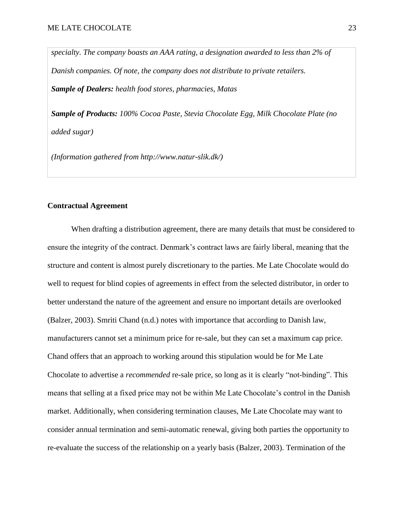*specialty. The company boasts an AAA rating, a designation awarded to less than 2% of Danish companies. Of note, the company does not distribute to private retailers. Sample of Dealers: health food stores, pharmacies, Matas*

*Sample of Products: 100% Cocoa Paste, Stevia Chocolate Egg, Milk Chocolate Plate (no added sugar)*

*(Information gathered from http://www.natur-slik.dk/)*

# **Contractual Agreement**

When drafting a distribution agreement, there are many details that must be considered to ensure the integrity of the contract. Denmark's contract laws are fairly liberal, meaning that the structure and content is almost purely discretionary to the parties. Me Late Chocolate would do well to request for blind copies of agreements in effect from the selected distributor, in order to better understand the nature of the agreement and ensure no important details are overlooked (Balzer, 2003). Smriti Chand (n.d.) notes with importance that according to Danish law, manufacturers cannot set a minimum price for re-sale, but they can set a maximum cap price. Chand offers that an approach to working around this stipulation would be for Me Late Chocolate to advertise a *recommended* re-sale price, so long as it is clearly "not-binding". This means that selling at a fixed price may not be within Me Late Chocolate's control in the Danish market. Additionally, when considering termination clauses, Me Late Chocolate may want to consider annual termination and semi-automatic renewal, giving both parties the opportunity to re-evaluate the success of the relationship on a yearly basis (Balzer, 2003). Termination of the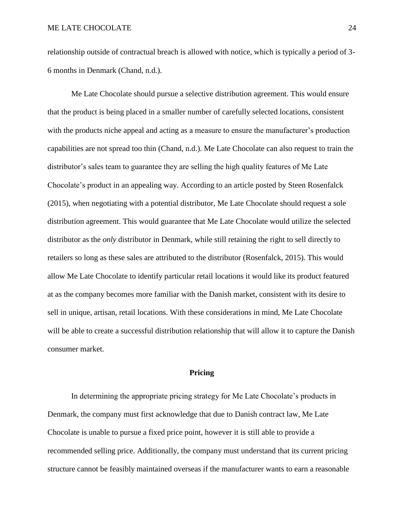relationship outside of contractual breach is allowed with notice, which is typically a period of 3- 6 months in Denmark (Chand, n.d.).

Me Late Chocolate should pursue a selective distribution agreement. This would ensure that the product is being placed in a smaller number of carefully selected locations, consistent with the products niche appeal and acting as a measure to ensure the manufacturer's production capabilities are not spread too thin (Chand, n.d.). Me Late Chocolate can also request to train the distributor's sales team to guarantee they are selling the high quality features of Me Late Chocolate's product in an appealing way. According to an article posted by Steen Rosenfalck (2015), when negotiating with a potential distributor, Me Late Chocolate should request a sole distribution agreement. This would guarantee that Me Late Chocolate would utilize the selected distributor as the *only* distributor in Denmark, while still retaining the right to sell directly to retailers so long as these sales are attributed to the distributor (Rosenfalck, 2015). This would allow Me Late Chocolate to identify particular retail locations it would like its product featured at as the company becomes more familiar with the Danish market, consistent with its desire to sell in unique, artisan, retail locations. With these considerations in mind, Me Late Chocolate will be able to create a successful distribution relationship that will allow it to capture the Danish consumer market.

### **Pricing**

In determining the appropriate pricing strategy for Me Late Chocolate's products in Denmark, the company must first acknowledge that due to Danish contract law, Me Late Chocolate is unable to pursue a fixed price point, however it is still able to provide a recommended selling price. Additionally, the company must understand that its current pricing structure cannot be feasibly maintained overseas if the manufacturer wants to earn a reasonable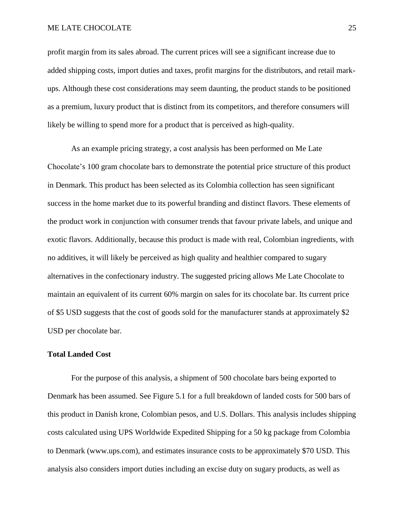#### ME LATE CHOCOLATE 25

profit margin from its sales abroad. The current prices will see a significant increase due to added shipping costs, import duties and taxes, profit margins for the distributors, and retail markups. Although these cost considerations may seem daunting, the product stands to be positioned as a premium, luxury product that is distinct from its competitors, and therefore consumers will likely be willing to spend more for a product that is perceived as high-quality.

As an example pricing strategy, a cost analysis has been performed on Me Late Chocolate's 100 gram chocolate bars to demonstrate the potential price structure of this product in Denmark. This product has been selected as its Colombia collection has seen significant success in the home market due to its powerful branding and distinct flavors. These elements of the product work in conjunction with consumer trends that favour private labels, and unique and exotic flavors. Additionally, because this product is made with real, Colombian ingredients, with no additives, it will likely be perceived as high quality and healthier compared to sugary alternatives in the confectionary industry. The suggested pricing allows Me Late Chocolate to maintain an equivalent of its current 60% margin on sales for its chocolate bar. Its current price of \$5 USD suggests that the cost of goods sold for the manufacturer stands at approximately \$2 USD per chocolate bar.

### **Total Landed Cost**

For the purpose of this analysis, a shipment of 500 chocolate bars being exported to Denmark has been assumed. See Figure 5.1 for a full breakdown of landed costs for 500 bars of this product in Danish krone, Colombian pesos, and U.S. Dollars. This analysis includes shipping costs calculated using UPS Worldwide Expedited Shipping for a 50 kg package from Colombia to Denmark (www.ups.com), and estimates insurance costs to be approximately \$70 USD. This analysis also considers import duties including an excise duty on sugary products, as well as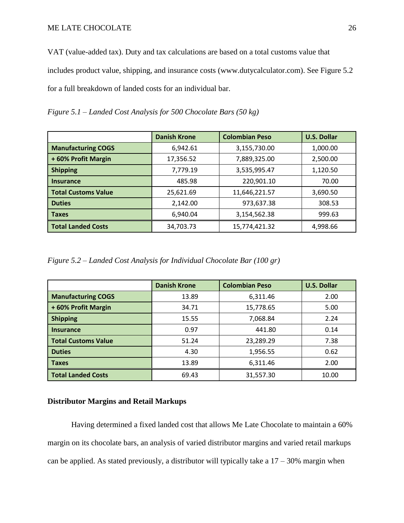VAT (value-added tax). Duty and tax calculations are based on a total customs value that includes product value, shipping, and insurance costs (www.dutycalculator.com). See Figure 5.2 for a full breakdown of landed costs for an individual bar.

*Figure 5.1 – Landed Cost Analysis for 500 Chocolate Bars (50 kg)*

|                            | <b>Danish Krone</b> | <b>Colombian Peso</b> | <b>U.S. Dollar</b> |
|----------------------------|---------------------|-----------------------|--------------------|
| <b>Manufacturing COGS</b>  | 6,942.61            | 3,155,730.00          | 1,000.00           |
| +60% Profit Margin         | 17,356.52           | 7,889,325.00          | 2,500.00           |
| <b>Shipping</b>            | 7,779.19            | 3,535,995.47          | 1,120.50           |
| <b>Insurance</b>           | 485.98              | 220,901.10            | 70.00              |
| <b>Total Customs Value</b> | 25,621.69           | 11,646,221.57         | 3,690.50           |
| <b>Duties</b>              | 2,142.00            | 973,637.38            | 308.53             |
| <b>Taxes</b>               | 6.940.04            | 3,154,562.38          | 999.63             |
| <b>Total Landed Costs</b>  | 34,703.73           | 15,774,421.32         | 4,998.66           |

*Figure 5.2 – Landed Cost Analysis for Individual Chocolate Bar (100 gr)*

|                            | <b>Danish Krone</b> | <b>Colombian Peso</b> | <b>U.S. Dollar</b> |
|----------------------------|---------------------|-----------------------|--------------------|
| <b>Manufacturing COGS</b>  | 13.89               | 6,311.46              | 2.00               |
| +60% Profit Margin         | 34.71               | 15,778.65             | 5.00               |
| <b>Shipping</b>            | 15.55               | 7,068.84              | 2.24               |
| <b>Insurance</b>           | 0.97                | 441.80                | 0.14               |
| <b>Total Customs Value</b> | 51.24               | 23,289.29             | 7.38               |
| <b>Duties</b>              | 4.30                | 1,956.55              | 0.62               |
| <b>Taxes</b>               | 13.89               | 6,311.46              | 2.00               |
| <b>Total Landed Costs</b>  | 69.43               | 31,557.30             | 10.00              |

# **Distributor Margins and Retail Markups**

Having determined a fixed landed cost that allows Me Late Chocolate to maintain a 60% margin on its chocolate bars, an analysis of varied distributor margins and varied retail markups can be applied. As stated previously, a distributor will typically take a  $17 - 30\%$  margin when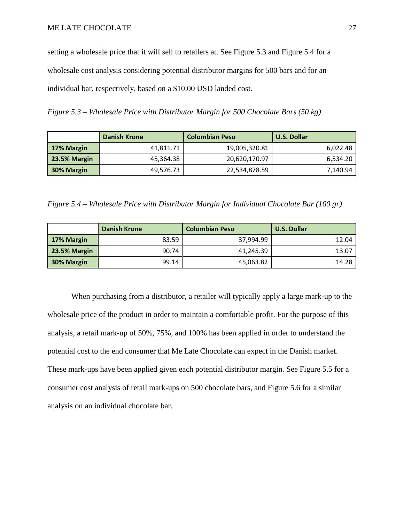setting a wholesale price that it will sell to retailers at. See Figure 5.3 and Figure 5.4 for a wholesale cost analysis considering potential distributor margins for 500 bars and for an individual bar, respectively, based on a \$10.00 USD landed cost.

*Figure 5.3 – Wholesale Price with Distributor Margin for 500 Chocolate Bars (50 kg)*

|              | <b>Danish Krone</b> | <b>Colombian Peso</b> | <b>U.S. Dollar</b> |
|--------------|---------------------|-----------------------|--------------------|
| 17% Margin   | 41,811.71           | 19,005,320.81         | 6,022.48           |
| 23.5% Margin | 45,364.38           | 20,620,170.97         | 6,534.20           |
| 30% Margin   | 49,576.73           | 22,534,878.59         | 7,140.94           |

*Figure 5.4 – Wholesale Price with Distributor Margin for Individual Chocolate Bar (100 gr)*

|              | <b>Danish Krone</b> | <b>Colombian Peso</b> | <b>U.S. Dollar</b> |
|--------------|---------------------|-----------------------|--------------------|
| 17% Margin   | 83.59               | 37,994.99             | 12.04              |
| 23.5% Margin | 90.74               | 41,245.39             | 13.07              |
| 30% Margin   | 99.14               | 45,063.82             | 14.28              |

When purchasing from a distributor, a retailer will typically apply a large mark-up to the wholesale price of the product in order to maintain a comfortable profit. For the purpose of this analysis, a retail mark-up of 50%, 75%, and 100% has been applied in order to understand the potential cost to the end consumer that Me Late Chocolate can expect in the Danish market. These mark-ups have been applied given each potential distributor margin. See Figure 5.5 for a consumer cost analysis of retail mark-ups on 500 chocolate bars, and Figure 5.6 for a similar analysis on an individual chocolate bar.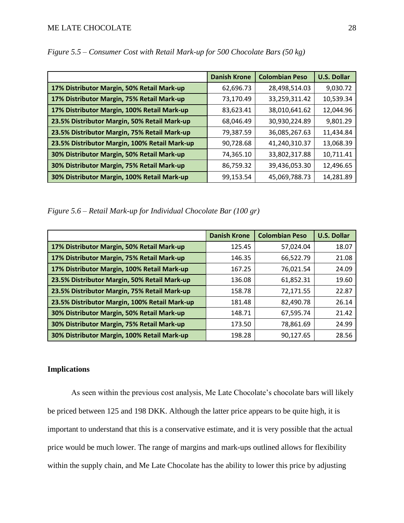|                                               | <b>Danish Krone</b> | <b>Colombian Peso</b> | <b>U.S. Dollar</b> |
|-----------------------------------------------|---------------------|-----------------------|--------------------|
| 17% Distributor Margin, 50% Retail Mark-up    | 62,696.73           | 28,498,514.03         | 9,030.72           |
| 17% Distributor Margin, 75% Retail Mark-up    | 73,170.49           | 33,259,311.42         | 10,539.34          |
| 17% Distributor Margin, 100% Retail Mark-up   | 83,623.41           | 38,010,641.62         | 12,044.96          |
| 23.5% Distributor Margin, 50% Retail Mark-up  | 68,046.49           | 30,930,224.89         | 9,801.29           |
| 23.5% Distributor Margin, 75% Retail Mark-up  | 79,387.59           | 36,085,267.63         | 11,434.84          |
| 23.5% Distributor Margin, 100% Retail Mark-up | 90,728.68           | 41,240,310.37         | 13,068.39          |
| 30% Distributor Margin, 50% Retail Mark-up    | 74,365.10           | 33,802,317.88         | 10,711.41          |
| 30% Distributor Margin, 75% Retail Mark-up    | 86,759.32           | 39,436,053.30         | 12,496.65          |
| 30% Distributor Margin, 100% Retail Mark-up   | 99,153.54           | 45,069,788.73         | 14,281.89          |

*Figure 5.5 – Consumer Cost with Retail Mark-up for 500 Chocolate Bars (50 kg)*

*Figure 5.6 – Retail Mark-up for Individual Chocolate Bar (100 gr)*

|                                               | <b>Danish Krone</b> | <b>Colombian Peso</b> | <b>U.S. Dollar</b> |
|-----------------------------------------------|---------------------|-----------------------|--------------------|
| 17% Distributor Margin, 50% Retail Mark-up    | 125.45              | 57,024.04             | 18.07              |
| 17% Distributor Margin, 75% Retail Mark-up    | 146.35              | 66,522.79             | 21.08              |
| 17% Distributor Margin, 100% Retail Mark-up   | 167.25              | 76,021.54             | 24.09              |
| 23.5% Distributor Margin, 50% Retail Mark-up  | 136.08              | 61,852.31             | 19.60              |
| 23.5% Distributor Margin, 75% Retail Mark-up  | 158.78              | 72,171.55             | 22.87              |
| 23.5% Distributor Margin, 100% Retail Mark-up | 181.48              | 82,490.78             | 26.14              |
| 30% Distributor Margin, 50% Retail Mark-up    | 148.71              | 67,595.74             | 21.42              |
| 30% Distributor Margin, 75% Retail Mark-up    | 173.50              | 78,861.69             | 24.99              |
| 30% Distributor Margin, 100% Retail Mark-up   | 198.28              | 90,127.65             | 28.56              |

# **Implications**

As seen within the previous cost analysis, Me Late Chocolate's chocolate bars will likely be priced between 125 and 198 DKK. Although the latter price appears to be quite high, it is important to understand that this is a conservative estimate, and it is very possible that the actual price would be much lower. The range of margins and mark-ups outlined allows for flexibility within the supply chain, and Me Late Chocolate has the ability to lower this price by adjusting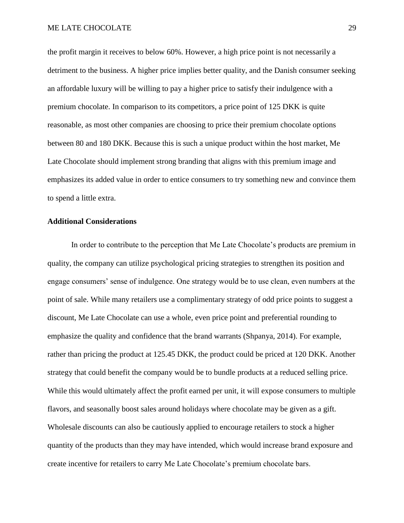the profit margin it receives to below 60%. However, a high price point is not necessarily a detriment to the business. A higher price implies better quality, and the Danish consumer seeking an affordable luxury will be willing to pay a higher price to satisfy their indulgence with a premium chocolate. In comparison to its competitors, a price point of 125 DKK is quite reasonable, as most other companies are choosing to price their premium chocolate options between 80 and 180 DKK. Because this is such a unique product within the host market, Me Late Chocolate should implement strong branding that aligns with this premium image and emphasizes its added value in order to entice consumers to try something new and convince them to spend a little extra.

# **Additional Considerations**

In order to contribute to the perception that Me Late Chocolate's products are premium in quality, the company can utilize psychological pricing strategies to strengthen its position and engage consumers' sense of indulgence. One strategy would be to use clean, even numbers at the point of sale. While many retailers use a complimentary strategy of odd price points to suggest a discount, Me Late Chocolate can use a whole, even price point and preferential rounding to emphasize the quality and confidence that the brand warrants (Shpanya, 2014). For example, rather than pricing the product at 125.45 DKK, the product could be priced at 120 DKK. Another strategy that could benefit the company would be to bundle products at a reduced selling price. While this would ultimately affect the profit earned per unit, it will expose consumers to multiple flavors, and seasonally boost sales around holidays where chocolate may be given as a gift. Wholesale discounts can also be cautiously applied to encourage retailers to stock a higher quantity of the products than they may have intended, which would increase brand exposure and create incentive for retailers to carry Me Late Chocolate's premium chocolate bars.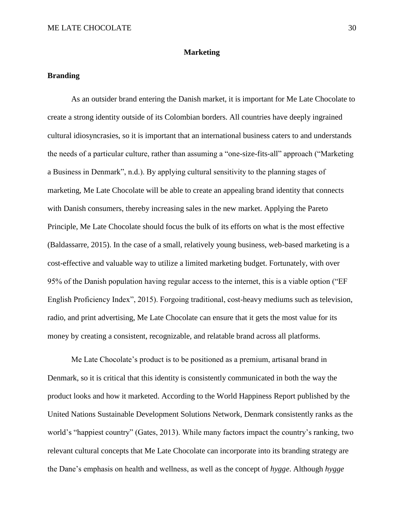### **Marketing**

### **Branding**

As an outsider brand entering the Danish market, it is important for Me Late Chocolate to create a strong identity outside of its Colombian borders. All countries have deeply ingrained cultural idiosyncrasies, so it is important that an international business caters to and understands the needs of a particular culture, rather than assuming a "one-size-fits-all" approach ("Marketing a Business in Denmark", n.d.). By applying cultural sensitivity to the planning stages of marketing, Me Late Chocolate will be able to create an appealing brand identity that connects with Danish consumers, thereby increasing sales in the new market. Applying the Pareto Principle, Me Late Chocolate should focus the bulk of its efforts on what is the most effective (Baldassarre, 2015). In the case of a small, relatively young business, web-based marketing is a cost-effective and valuable way to utilize a limited marketing budget. Fortunately, with over 95% of the Danish population having regular access to the internet, this is a viable option ("EF English Proficiency Index", 2015). Forgoing traditional, cost-heavy mediums such as television, radio, and print advertising, Me Late Chocolate can ensure that it gets the most value for its money by creating a consistent, recognizable, and relatable brand across all platforms.

Me Late Chocolate's product is to be positioned as a premium, artisanal brand in Denmark, so it is critical that this identity is consistently communicated in both the way the product looks and how it marketed. According to the World Happiness Report published by the United Nations Sustainable Development Solutions Network, Denmark consistently ranks as the world's "happiest country" (Gates, 2013). While many factors impact the country's ranking, two relevant cultural concepts that Me Late Chocolate can incorporate into its branding strategy are the Dane's emphasis on health and wellness, as well as the concept of *hygge*. Although *hygge*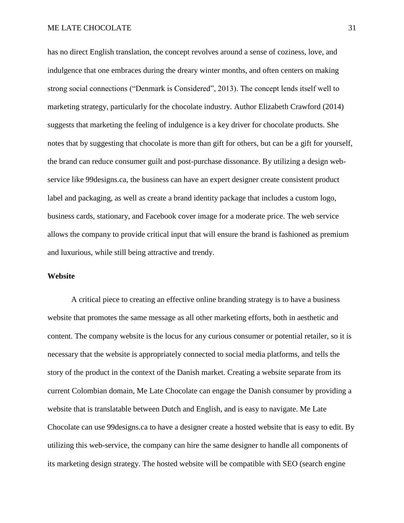has no direct English translation, the concept revolves around a sense of coziness, love, and indulgence that one embraces during the dreary winter months, and often centers on making strong social connections ("Denmark is Considered", 2013). The concept lends itself well to marketing strategy, particularly for the chocolate industry. Author Elizabeth Crawford (2014) suggests that marketing the feeling of indulgence is a key driver for chocolate products. She notes that by suggesting that chocolate is more than gift for others, but can be a gift for yourself, the brand can reduce consumer guilt and post-purchase dissonance. By utilizing a design webservice like 99designs.ca, the business can have an expert designer create consistent product label and packaging, as well as create a brand identity package that includes a custom logo, business cards, stationary, and Facebook cover image for a moderate price. The web service allows the company to provide critical input that will ensure the brand is fashioned as premium and luxurious, while still being attractive and trendy.

# **Website**

A critical piece to creating an effective online branding strategy is to have a business website that promotes the same message as all other marketing efforts, both in aesthetic and content. The company website is the locus for any curious consumer or potential retailer, so it is necessary that the website is appropriately connected to social media platforms, and tells the story of the product in the context of the Danish market. Creating a website separate from its current Colombian domain, Me Late Chocolate can engage the Danish consumer by providing a website that is translatable between Dutch and English, and is easy to navigate. Me Late Chocolate can use 99designs.ca to have a designer create a hosted website that is easy to edit. By utilizing this web-service, the company can hire the same designer to handle all components of its marketing design strategy. The hosted website will be compatible with SEO (search engine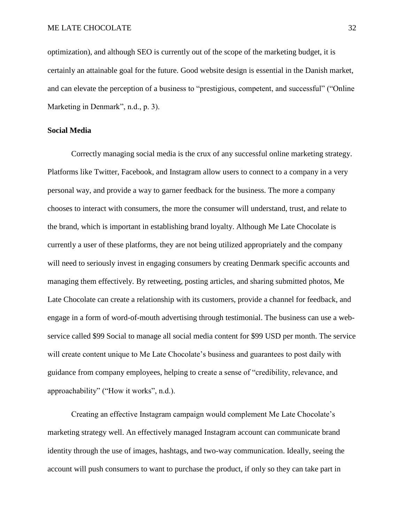optimization), and although SEO is currently out of the scope of the marketing budget, it is certainly an attainable goal for the future. Good website design is essential in the Danish market, and can elevate the perception of a business to "prestigious, competent, and successful" ("Online Marketing in Denmark", n.d., p. 3).

### **Social Media**

Correctly managing social media is the crux of any successful online marketing strategy. Platforms like Twitter, Facebook, and Instagram allow users to connect to a company in a very personal way, and provide a way to garner feedback for the business. The more a company chooses to interact with consumers, the more the consumer will understand, trust, and relate to the brand, which is important in establishing brand loyalty. Although Me Late Chocolate is currently a user of these platforms, they are not being utilized appropriately and the company will need to seriously invest in engaging consumers by creating Denmark specific accounts and managing them effectively. By retweeting, posting articles, and sharing submitted photos, Me Late Chocolate can create a relationship with its customers, provide a channel for feedback, and engage in a form of word-of-mouth advertising through testimonial. The business can use a webservice called \$99 Social to manage all social media content for \$99 USD per month. The service will create content unique to Me Late Chocolate's business and guarantees to post daily with guidance from company employees, helping to create a sense of "credibility, relevance, and approachability" ("How it works", n.d.).

Creating an effective Instagram campaign would complement Me Late Chocolate's marketing strategy well. An effectively managed Instagram account can communicate brand identity through the use of images, hashtags, and two-way communication. Ideally, seeing the account will push consumers to want to purchase the product, if only so they can take part in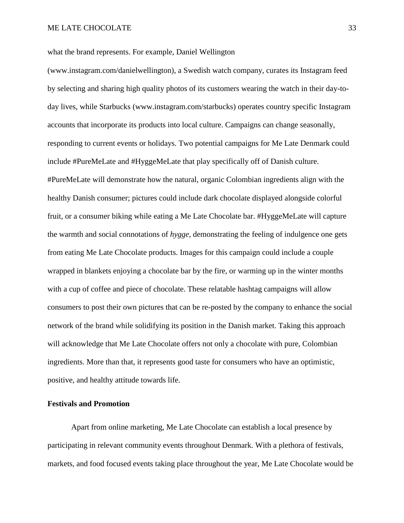what the brand represents. For example, Daniel Wellington

(www.instagram.com/danielwellington), a Swedish watch company, curates its Instagram feed by selecting and sharing high quality photos of its customers wearing the watch in their day-today lives, while Starbucks (www.instagram.com/starbucks) operates country specific Instagram accounts that incorporate its products into local culture. Campaigns can change seasonally, responding to current events or holidays. Two potential campaigns for Me Late Denmark could include #PureMeLate and #HyggeMeLate that play specifically off of Danish culture. #PureMeLate will demonstrate how the natural, organic Colombian ingredients align with the healthy Danish consumer; pictures could include dark chocolate displayed alongside colorful fruit, or a consumer biking while eating a Me Late Chocolate bar. #HyggeMeLate will capture the warmth and social connotations of *hygge*, demonstrating the feeling of indulgence one gets from eating Me Late Chocolate products. Images for this campaign could include a couple wrapped in blankets enjoying a chocolate bar by the fire, or warming up in the winter months with a cup of coffee and piece of chocolate. These relatable hashtag campaigns will allow consumers to post their own pictures that can be re-posted by the company to enhance the social network of the brand while solidifying its position in the Danish market. Taking this approach will acknowledge that Me Late Chocolate offers not only a chocolate with pure, Colombian ingredients. More than that, it represents good taste for consumers who have an optimistic, positive, and healthy attitude towards life.

### **Festivals and Promotion**

Apart from online marketing, Me Late Chocolate can establish a local presence by participating in relevant community events throughout Denmark. With a plethora of festivals, markets, and food focused events taking place throughout the year, Me Late Chocolate would be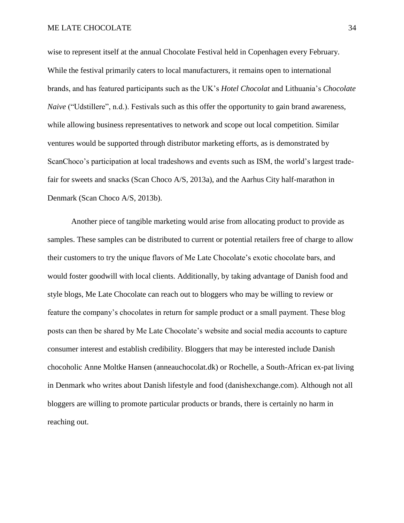wise to represent itself at the annual Chocolate Festival held in Copenhagen every February. While the festival primarily caters to local manufacturers, it remains open to international brands, and has featured participants such as the UK's *Hotel Chocolat* and Lithuania's *Chocolate Naive* ("Udstillere", n.d.). Festivals such as this offer the opportunity to gain brand awareness, while allowing business representatives to network and scope out local competition. Similar ventures would be supported through distributor marketing efforts, as is demonstrated by ScanChoco's participation at local tradeshows and events such as ISM, the world's largest tradefair for sweets and snacks (Scan Choco A/S, 2013a), and the Aarhus City half-marathon in Denmark (Scan Choco A/S, 2013b).

Another piece of tangible marketing would arise from allocating product to provide as samples. These samples can be distributed to current or potential retailers free of charge to allow their customers to try the unique flavors of Me Late Chocolate's exotic chocolate bars, and would foster goodwill with local clients. Additionally, by taking advantage of Danish food and style blogs, Me Late Chocolate can reach out to bloggers who may be willing to review or feature the company's chocolates in return for sample product or a small payment. These blog posts can then be shared by Me Late Chocolate's website and social media accounts to capture consumer interest and establish credibility. Bloggers that may be interested include Danish chocoholic Anne Moltke Hansen (anneauchocolat.dk) or Rochelle, a South-African ex-pat living in Denmark who writes about Danish lifestyle and food (danishexchange.com). Although not all bloggers are willing to promote particular products or brands, there is certainly no harm in reaching out.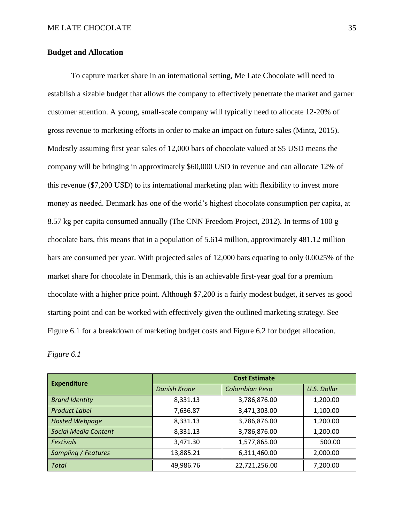### **Budget and Allocation**

To capture market share in an international setting, Me Late Chocolate will need to establish a sizable budget that allows the company to effectively penetrate the market and garner customer attention. A young, small-scale company will typically need to allocate 12-20% of gross revenue to marketing efforts in order to make an impact on future sales (Mintz, 2015). Modestly assuming first year sales of 12,000 bars of chocolate valued at \$5 USD means the company will be bringing in approximately \$60,000 USD in revenue and can allocate 12% of this revenue (\$7,200 USD) to its international marketing plan with flexibility to invest more money as needed. Denmark has one of the world's highest chocolate consumption per capita, at 8.57 kg per capita consumed annually (The CNN Freedom Project, 2012). In terms of 100 g chocolate bars, this means that in a population of 5.614 million, approximately 481.12 million bars are consumed per year. With projected sales of 12,000 bars equating to only 0.0025% of the market share for chocolate in Denmark, this is an achievable first-year goal for a premium chocolate with a higher price point. Although \$7,200 is a fairly modest budget, it serves as good starting point and can be worked with effectively given the outlined marketing strategy. See Figure 6.1 for a breakdown of marketing budget costs and Figure 6.2 for budget allocation.

*Figure 6.1*

| <b>Expenditure</b>          | <b>Cost Estimate</b> |                       |                    |  |
|-----------------------------|----------------------|-----------------------|--------------------|--|
|                             | <b>Danish Krone</b>  | <b>Colombian Peso</b> | <b>U.S. Dollar</b> |  |
| <b>Brand Identity</b>       | 8,331.13             | 3,786,876.00          | 1,200.00           |  |
| <b>Product Label</b>        | 7,636.87             | 3,471,303.00          | 1,100.00           |  |
| <b>Hosted Webpage</b>       | 8,331.13             | 3,786,876.00          | 1,200.00           |  |
| <b>Social Media Content</b> | 8,331.13             | 3,786,876.00          | 1,200.00           |  |
| <b>Festivals</b>            | 3,471.30             | 1,577,865.00          | 500.00             |  |
| Sampling / Features         | 13,885.21            | 6,311,460.00          | 2,000.00           |  |
| <b>Total</b>                | 49,986.76            | 22,721,256.00         | 7,200.00           |  |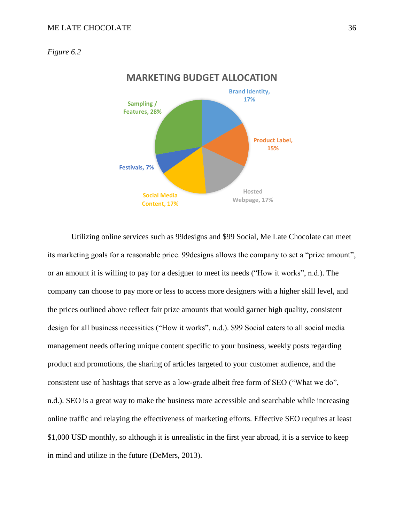### *Figure 6.2*



Utilizing online services such as 99designs and \$99 Social, Me Late Chocolate can meet its marketing goals for a reasonable price. 99designs allows the company to set a "prize amount", or an amount it is willing to pay for a designer to meet its needs ("How it works", n.d.). The company can choose to pay more or less to access more designers with a higher skill level, and the prices outlined above reflect fair prize amounts that would garner high quality, consistent design for all business necessities ("How it works", n.d.). \$99 Social caters to all social media management needs offering unique content specific to your business, weekly posts regarding product and promotions, the sharing of articles targeted to your customer audience, and the consistent use of hashtags that serve as a low-grade albeit free form of SEO ("What we do", n.d.). SEO is a great way to make the business more accessible and searchable while increasing online traffic and relaying the effectiveness of marketing efforts. Effective SEO requires at least \$1,000 USD monthly, so although it is unrealistic in the first year abroad, it is a service to keep in mind and utilize in the future (DeMers, 2013).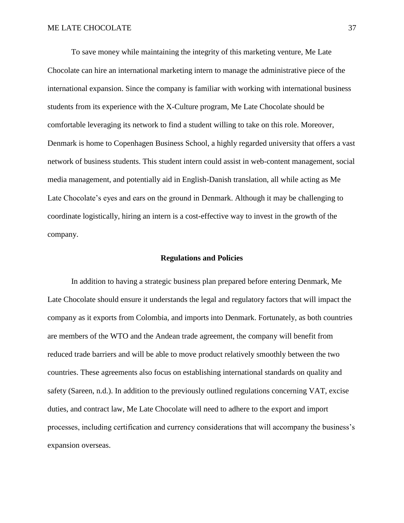To save money while maintaining the integrity of this marketing venture, Me Late Chocolate can hire an international marketing intern to manage the administrative piece of the international expansion. Since the company is familiar with working with international business students from its experience with the X-Culture program, Me Late Chocolate should be comfortable leveraging its network to find a student willing to take on this role. Moreover, Denmark is home to Copenhagen Business School, a highly regarded university that offers a vast network of business students. This student intern could assist in web-content management, social media management, and potentially aid in English-Danish translation, all while acting as Me Late Chocolate's eyes and ears on the ground in Denmark. Although it may be challenging to coordinate logistically, hiring an intern is a cost-effective way to invest in the growth of the company.

### **Regulations and Policies**

In addition to having a strategic business plan prepared before entering Denmark, Me Late Chocolate should ensure it understands the legal and regulatory factors that will impact the company as it exports from Colombia, and imports into Denmark. Fortunately, as both countries are members of the WTO and the Andean trade agreement, the company will benefit from reduced trade barriers and will be able to move product relatively smoothly between the two countries. These agreements also focus on establishing international standards on quality and safety (Sareen, n.d.). In addition to the previously outlined regulations concerning VAT, excise duties, and contract law, Me Late Chocolate will need to adhere to the export and import processes, including certification and currency considerations that will accompany the business's expansion overseas.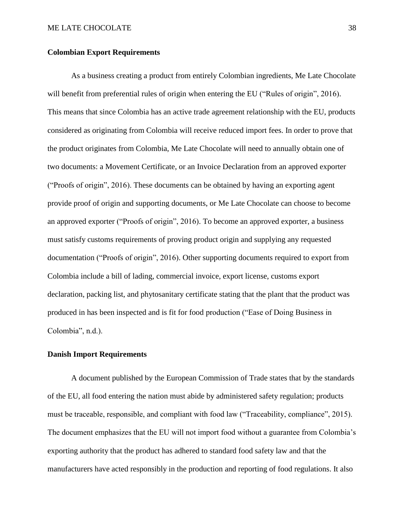### **Colombian Export Requirements**

As a business creating a product from entirely Colombian ingredients, Me Late Chocolate will benefit from preferential rules of origin when entering the EU ("Rules of origin", 2016). This means that since Colombia has an active trade agreement relationship with the EU, products considered as originating from Colombia will receive reduced import fees. In order to prove that the product originates from Colombia, Me Late Chocolate will need to annually obtain one of two documents: a Movement Certificate, or an Invoice Declaration from an approved exporter ("Proofs of origin", 2016). These documents can be obtained by having an exporting agent provide proof of origin and supporting documents, or Me Late Chocolate can choose to become an approved exporter ("Proofs of origin", 2016). To become an approved exporter, a business must satisfy customs requirements of proving product origin and supplying any requested documentation ("Proofs of origin", 2016). Other supporting documents required to export from Colombia include a bill of lading, commercial invoice, export license, customs export declaration, packing list, and phytosanitary certificate stating that the plant that the product was produced in has been inspected and is fit for food production ("Ease of Doing Business in Colombia", n.d.).

### **Danish Import Requirements**

A document published by the European Commission of Trade states that by the standards of the EU, all food entering the nation must abide by administered safety regulation; products must be traceable, responsible, and compliant with food law ("Traceability, compliance", 2015). The document emphasizes that the EU will not import food without a guarantee from Colombia's exporting authority that the product has adhered to standard food safety law and that the manufacturers have acted responsibly in the production and reporting of food regulations. It also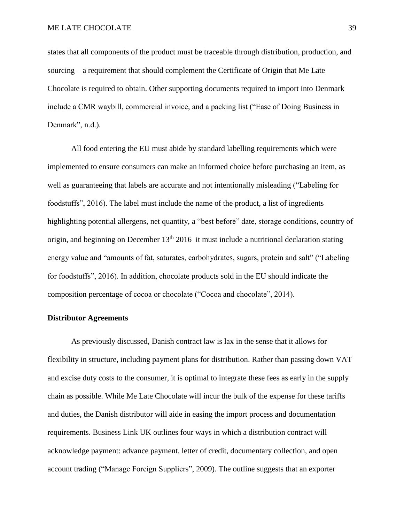states that all components of the product must be traceable through distribution, production, and sourcing – a requirement that should complement the Certificate of Origin that Me Late Chocolate is required to obtain. Other supporting documents required to import into Denmark include a CMR waybill, commercial invoice, and a packing list ("Ease of Doing Business in Denmark", n.d.).

All food entering the EU must abide by standard labelling requirements which were implemented to ensure consumers can make an informed choice before purchasing an item, as well as guaranteeing that labels are accurate and not intentionally misleading ("Labeling for foodstuffs", 2016). The label must include the name of the product, a list of ingredients highlighting potential allergens, net quantity, a "best before" date, storage conditions, country of origin, and beginning on December 13<sup>th</sup> 2016 it must include a nutritional declaration stating energy value and "amounts of fat, saturates, carbohydrates, sugars, protein and salt" ("Labeling for foodstuffs", 2016). In addition, chocolate products sold in the EU should indicate the composition percentage of cocoa or chocolate ("Cocoa and chocolate", 2014).

#### **Distributor Agreements**

As previously discussed, Danish contract law is lax in the sense that it allows for flexibility in structure, including payment plans for distribution. Rather than passing down VAT and excise duty costs to the consumer, it is optimal to integrate these fees as early in the supply chain as possible. While Me Late Chocolate will incur the bulk of the expense for these tariffs and duties, the Danish distributor will aide in easing the import process and documentation requirements. Business Link UK outlines four ways in which a distribution contract will acknowledge payment: advance payment, letter of credit, documentary collection, and open account trading ("Manage Foreign Suppliers", 2009). The outline suggests that an exporter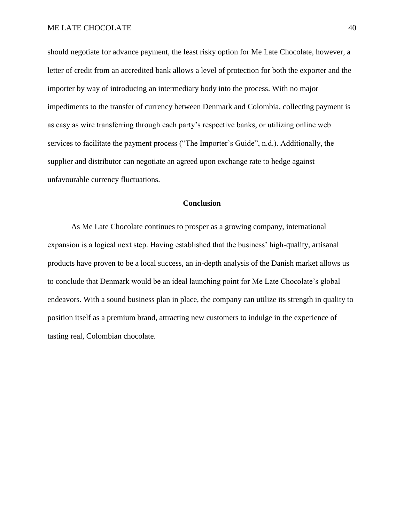should negotiate for advance payment, the least risky option for Me Late Chocolate, however, a letter of credit from an accredited bank allows a level of protection for both the exporter and the importer by way of introducing an intermediary body into the process. With no major impediments to the transfer of currency between Denmark and Colombia, collecting payment is as easy as wire transferring through each party's respective banks, or utilizing online web services to facilitate the payment process ("The Importer's Guide", n.d.). Additionally, the supplier and distributor can negotiate an agreed upon exchange rate to hedge against unfavourable currency fluctuations.

# **Conclusion**

As Me Late Chocolate continues to prosper as a growing company, international expansion is a logical next step. Having established that the business' high-quality, artisanal products have proven to be a local success, an in-depth analysis of the Danish market allows us to conclude that Denmark would be an ideal launching point for Me Late Chocolate's global endeavors. With a sound business plan in place, the company can utilize its strength in quality to position itself as a premium brand, attracting new customers to indulge in the experience of tasting real, Colombian chocolate.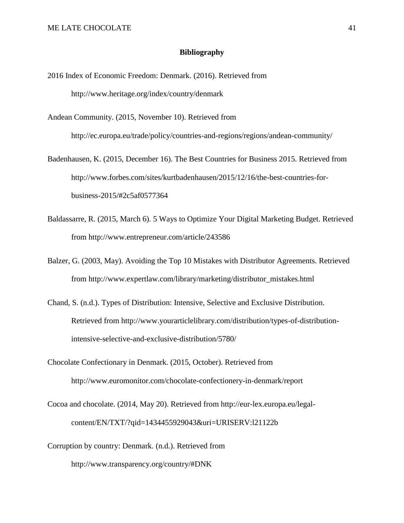### **Bibliography**

2016 Index of Economic Freedom: Denmark. (2016). Retrieved from http://www.heritage.org/index/country/denmark

Andean Community. (2015, November 10). Retrieved from

http://ec.europa.eu/trade/policy/countries-and-regions/regions/andean-community/

- Badenhausen, K. (2015, December 16). The Best Countries for Business 2015. Retrieved from [http://www.forbes.com/sites/kurtbadenhausen/2015/12/16/the-best-countries-for](http://www.forbes.com/sites/kurtbadenhausen/2015/12/16/the-best-countries-for-business-2015/#2c5af0577364)[business-2015/#2c5af0577364](http://www.forbes.com/sites/kurtbadenhausen/2015/12/16/the-best-countries-for-business-2015/#2c5af0577364)
- Baldassarre, R. (2015, March 6). 5 Ways to Optimize Your Digital Marketing Budget. Retrieved from http://www.entrepreneur.com/article/243586
- Balzer, G. (2003, May). Avoiding the Top 10 Mistakes with Distributor Agreements. Retrieved from http://www.expertlaw.com/library/marketing/distributor\_mistakes.html
- Chand, S. (n.d.). Types of Distribution: Intensive, Selective and Exclusive Distribution. Retrieved from http://www.yourarticlelibrary.com/distribution/types-of-distributionintensive-selective-and-exclusive-distribution/5780/
- Chocolate Confectionary in Denmark. (2015, October). Retrieved from http://www.euromonitor.com/chocolate-confectionery-in-denmark/report
- Cocoa and chocolate. (2014, May 20). Retrieved from http://eur-lex.europa.eu/legalcontent/EN/TXT/?qid=1434455929043&uri=URISERV:l21122b
- Corruption by country: Denmark. (n.d.). Retrieved from <http://www.transparency.org/country/#DNK>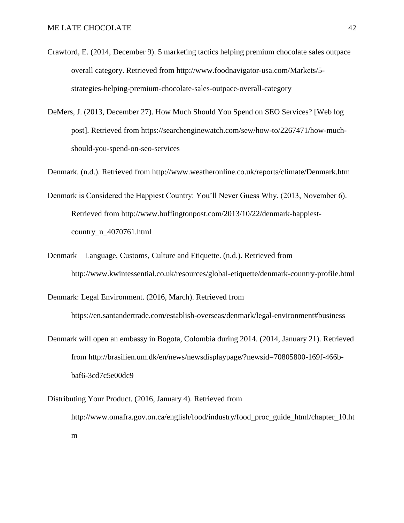- Crawford, E. (2014, December 9). 5 marketing tactics helping premium chocolate sales outpace overall category. Retrieved from [http://www.foodnavigator-usa.com/Markets/5](http://www.foodnavigator-usa.com/Markets/5-strategies-helping-premium-chocolate-sales-outpace-overall-category) [strategies-helping-premium-chocolate-sales-outpace-overall-category](http://www.foodnavigator-usa.com/Markets/5-strategies-helping-premium-chocolate-sales-outpace-overall-category)
- DeMers, J. (2013, December 27). How Much Should You Spend on SEO Services? [Web log post]. Retrieved from https://searchenginewatch.com/sew/how-to/2267471/how-muchshould-you-spend-on-seo-services

Denmark. (n.d.). Retrieved from<http://www.weatheronline.co.uk/reports/climate/Denmark.htm>

- Denmark is Considered the Happiest Country: You'll Never Guess Why. (2013, November 6). Retrieved from http://www.huffingtonpost.com/2013/10/22/denmark-happiestcountry\_n\_4070761.html
- Denmark Language, Customs, Culture and Etiquette. (n.d.). Retrieved from http://www.kwintessential.co.uk/resources/global-etiquette/denmark-country-profile.html

Denmark: Legal Environment. (2016, March). Retrieved from https://en.santandertrade.com/establish-overseas/denmark/legal-environment#business

- Denmark will open an embassy in Bogota, Colombia during 2014. (2014, January 21). Retrieved from http://brasilien.um.dk/en/news/newsdisplaypage/?newsid=70805800-169f-466bbaf6-3cd7c5e00dc9
- Distributing Your Product. (2016, January 4). Retrieved from http://www.omafra.gov.on.ca/english/food/industry/food\_proc\_guide\_html/chapter\_10.ht m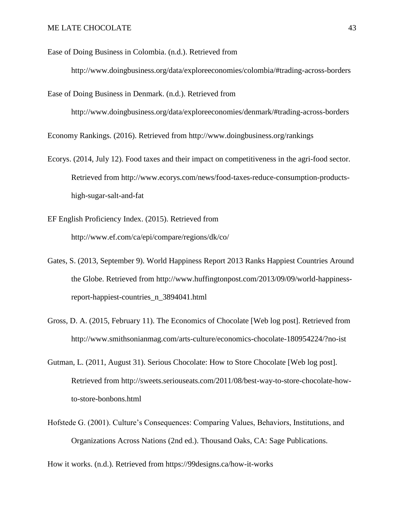Ease of Doing Business in Colombia. (n.d.). Retrieved from

http://www.doingbusiness.org/data/exploreeconomies/colombia/#trading-across-borders

Ease of Doing Business in Denmark. (n.d.). Retrieved from

http://www.doingbusiness.org/data/exploreeconomies/denmark/#trading-across-borders

Economy Rankings. (2016). Retrieved from http://www.doingbusiness.org/rankings

- Ecorys. (2014, July 12). Food taxes and their impact on competitiveness in the agri-food sector. Retrieved from http://www.ecorys.com/news/food-taxes-reduce-consumption-productshigh-sugar-salt-and-fat
- EF English Proficiency Index. (2015). Retrieved from <http://www.ef.com/ca/epi/compare/regions/dk/co/>
- Gates, S. (2013, September 9). World Happiness Report 2013 Ranks Happiest Countries Around the Globe. Retrieved from http://www.huffingtonpost.com/2013/09/09/world-happinessreport-happiest-countries\_n\_3894041.html
- Gross, D. A. (2015, February 11). The Economics of Chocolate [Web log post]. Retrieved from http://www.smithsonianmag.com/arts-culture/economics-chocolate-180954224/?no-ist
- Gutman, L. (2011, August 31). Serious Chocolate: How to Store Chocolate [Web log post]. Retrieved from http://sweets.seriouseats.com/2011/08/best-way-to-store-chocolate-howto-store-bonbons.html
- Hofstede G. (2001). Culture's Consequences: Comparing Values, Behaviors, Institutions, and Organizations Across Nations (2nd ed.). Thousand Oaks, CA: Sage Publications.

How it works. (n.d.). Retrieved from https://99designs.ca/how-it-works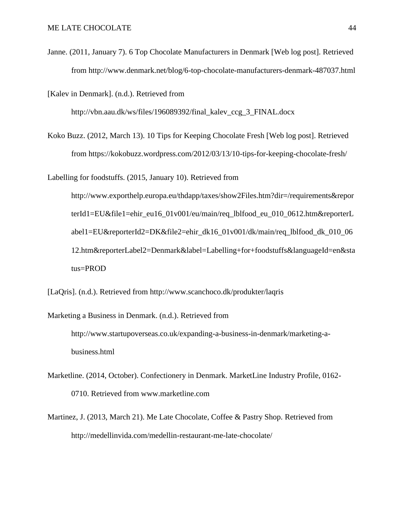Janne. (2011, January 7). 6 Top Chocolate Manufacturers in Denmark [Web log post]. Retrieved from http://www.denmark.net/blog/6-top-chocolate-manufacturers-denmark-487037.html

[Kalev in Denmark]. (n.d.). Retrieved from

http://vbn.aau.dk/ws/files/196089392/final\_kalev\_ccg\_3\_FINAL.docx

Koko Buzz. (2012, March 13). 10 Tips for Keeping Chocolate Fresh [Web log post]. Retrieved from<https://kokobuzz.wordpress.com/2012/03/13/10-tips-for-keeping-chocolate-fresh/>

Labelling for foodstuffs. (2015, January 10). Retrieved from http://www.exporthelp.europa.eu/thdapp/taxes/show2Files.htm?dir=/requirements&repor terId1=EU&file1=ehir\_eu16\_01v001/eu/main/req\_lblfood\_eu\_010\_0612.htm&reporterL abel1=EU&reporterId2=DK&file2=ehir\_dk16\_01v001/dk/main/req\_lblfood\_dk\_010\_06 12.htm&reporterLabel2=Denmark&label=Labelling+for+foodstuffs&languageId=en&sta tus=PROD

[LaQris]. (n.d.). Retrieved from http://www.scanchoco.dk/produkter/laqris

Marketing a Business in Denmark. (n.d.). Retrieved from http://www.startupoverseas.co.uk/expanding-a-business-in-denmark/marketing-abusiness.html

- Marketline. (2014, October). Confectionery in Denmark. MarketLine Industry Profile, 0162- 0710. Retrieved from www.marketline.com
- Martinez, J. (2013, March 21). Me Late Chocolate, Coffee & Pastry Shop. Retrieved from <http://medellinvida.com/medellin-restaurant-me-late-chocolate/>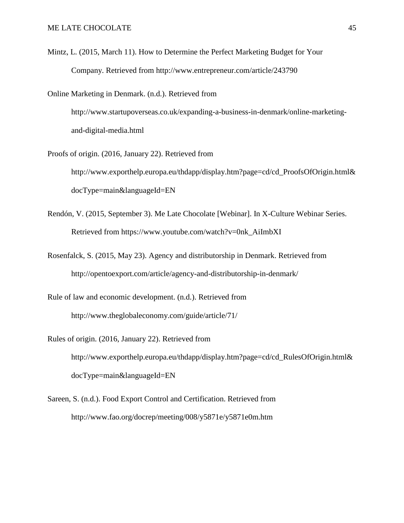Mintz, L. (2015, March 11). How to Determine the Perfect Marketing Budget for Your Company. Retrieved from http://www.entrepreneur.com/article/243790

Online Marketing in Denmark. (n.d.). Retrieved from http://www.startupoverseas.co.uk/expanding-a-business-in-denmark/online-marketingand-digital-media.html

Proofs of origin. (2016, January 22). Retrieved from http://www.exporthelp.europa.eu/thdapp/display.htm?page=cd/cd\_ProofsOfOrigin.html& docType=main&languageId=EN

- Rendón, V. (2015, September 3). Me Late Chocolate [Webinar]. In X-Culture Webinar Series. Retrieved from https://www.youtube.com/watch?v=0nk\_AiImbXI
- Rosenfalck, S. (2015, May 23). Agency and distributorship in Denmark. Retrieved from http://opentoexport.com/article/agency-and-distributorship-in-denmark/

Rule of law and economic development. (n.d.). Retrieved from <http://www.theglobaleconomy.com/guide/article/71/>

- Rules of origin. (2016, January 22). Retrieved from http://www.exporthelp.europa.eu/thdapp/display.htm?page=cd/cd\_RulesOfOrigin.html& docType=main&languageId=EN
- Sareen, S. (n.d.). Food Export Control and Certification. Retrieved from http://www.fao.org/docrep/meeting/008/y5871e/y5871e0m.htm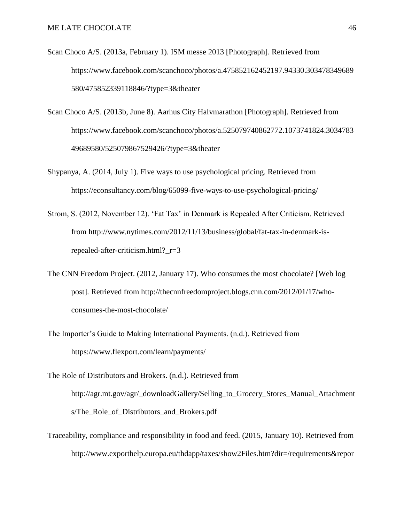- Scan Choco A/S. (2013a, February 1). ISM messe 2013 [Photograph]. Retrieved from https://www.facebook.com/scanchoco/photos/a.475852162452197.94330.303478349689 580/475852339118846/?type=3&theater
- Scan Choco A/S. (2013b, June 8). Aarhus City Halvmarathon [Photograph]. Retrieved from https://www.facebook.com/scanchoco/photos/a.525079740862772.1073741824.3034783 49689580/525079867529426/?type=3&theater
- Shypanya, A. (2014, July 1). Five ways to use psychological pricing. Retrieved from https://econsultancy.com/blog/65099-five-ways-to-use-psychological-pricing/
- Strom, S. (2012, November 12). 'Fat Tax' in Denmark is Repealed After Criticism. Retrieved from [http://www.nytimes.com/2012/11/13/business/global/fat-tax-in-denmark-is](http://www.nytimes.com/2012/11/13/business/global/fat-tax-in-denmark-is-repealed-after-criticism.html?_r=3)[repealed-after-criticism.html?\\_r=3](http://www.nytimes.com/2012/11/13/business/global/fat-tax-in-denmark-is-repealed-after-criticism.html?_r=3)
- The CNN Freedom Project. (2012, January 17). Who consumes the most chocolate? [Web log post]. Retrieved from http://thecnnfreedomproject.blogs.cnn.com/2012/01/17/whoconsumes-the-most-chocolate/
- The Importer's Guide to Making International Payments. (n.d.). Retrieved from https://www.flexport.com/learn/payments/
- The Role of Distributors and Brokers. (n.d.). Retrieved from [http://agr.mt.gov/agr/\\_downloadGallery/Selling\\_to\\_Grocery\\_Stores\\_Manual\\_Attachment](http://agr.mt.gov/agr/_downloadGallery/Selling_to_Grocery_Stores_Manual_Attachments/The_Role_of_Distributors_and_Brokers.pdf) s/The Role of Distributors and Brokers.pdf
- Traceability, compliance and responsibility in food and feed. (2015, January 10). Retrieved from http://www.exporthelp.europa.eu/thdapp/taxes/show2Files.htm?dir=/requirements&repor